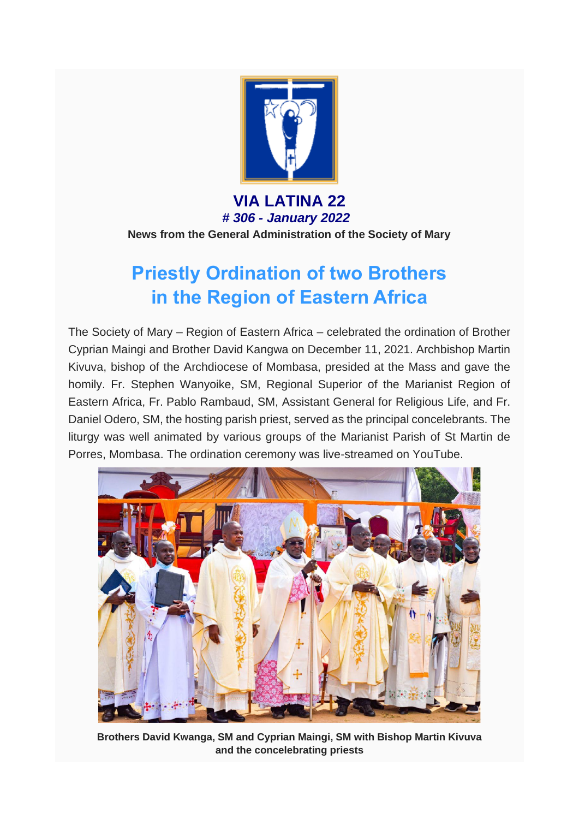

**VIA LATINA 22** *# 306 - January 2022* **News from the General Administration of the Society of Mary**

# **Priestly Ordination of two Brothers in the Region of Eastern Africa**

The Society of Mary – Region of Eastern Africa – celebrated the ordination of Brother Cyprian Maingi and Brother David Kangwa on December 11, 2021. Archbishop Martin Kivuva, bishop of the Archdiocese of Mombasa, presided at the Mass and gave the homily. Fr. Stephen Wanyoike, SM, Regional Superior of the Marianist Region of Eastern Africa, Fr. Pablo Rambaud, SM, Assistant General for Religious Life, and Fr. Daniel Odero, SM, the hosting parish priest, served as the principal concelebrants. The liturgy was well animated by various groups of the Marianist Parish of St Martin de Porres, Mombasa. The ordination ceremony was live-streamed on YouTube.



**Brothers David Kwanga, SM and Cyprian Maingi, SM with Bishop Martin Kivuva and the concelebrating priests**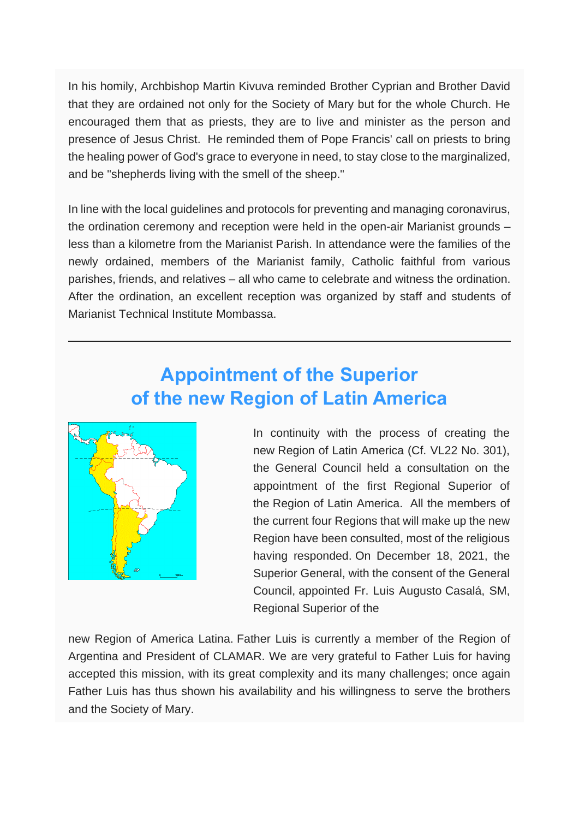In his homily, Archbishop Martin Kivuva reminded Brother Cyprian and Brother David that they are ordained not only for the Society of Mary but for the whole Church. He encouraged them that as priests, they are to live and minister as the person and presence of Jesus Christ. He reminded them of Pope Francis' call on priests to bring the healing power of God's grace to everyone in need, to stay close to the marginalized, and be "shepherds living with the smell of the sheep."

In line with the local guidelines and protocols for preventing and managing coronavirus, the ordination ceremony and reception were held in the open-air Marianist grounds – less than a kilometre from the Marianist Parish. In attendance were the families of the newly ordained, members of the Marianist family, Catholic faithful from various parishes, friends, and relatives – all who came to celebrate and witness the ordination. After the ordination, an excellent reception was organized by staff and students of Marianist Technical Institute Mombassa.

## **Appointment of the Superior of the new Region of Latin America**



In continuity with the process of creating the new Region of Latin America (Cf. VL22 No. 301), the General Council held a consultation on the appointment of the first Regional Superior of the Region of Latin America. All the members of the current four Regions that will make up the new Region have been consulted, most of the religious having responded. On December 18, 2021, the Superior General, with the consent of the General Council, appointed Fr. Luis Augusto Casalá, SM, Regional Superior of the

new Region of America Latina. Father Luis is currently a member of the Region of Argentina and President of CLAMAR. We are very grateful to Father Luis for having accepted this mission, with its great complexity and its many challenges; once again Father Luis has thus shown his availability and his willingness to serve the brothers and the Society of Mary.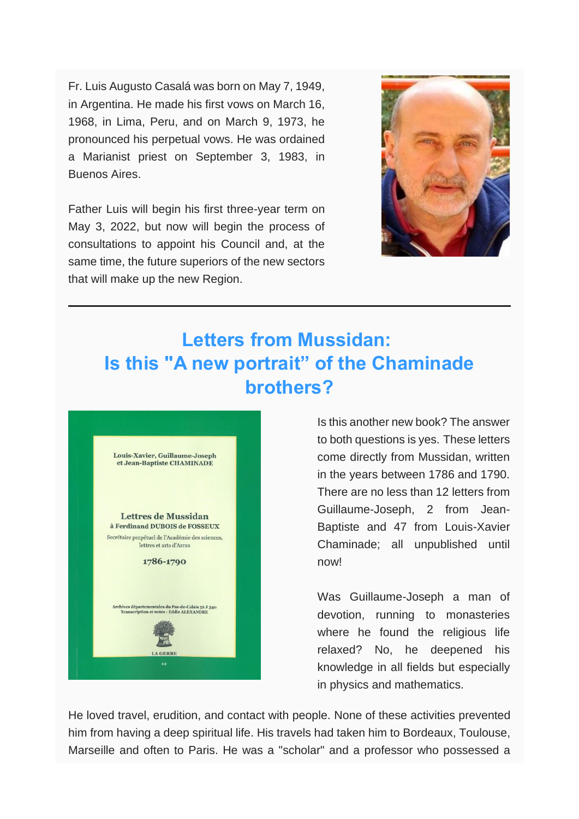Fr. Luis Augusto Casalá was born on May 7, 1949, in Argentina. He made his first vows on March 16, 1968, in Lima, Peru, and on March 9, 1973, he pronounced his perpetual vows. He was ordained a Marianist priest on September 3, 1983, in Buenos Aires.

Father Luis will begin his first three-year term on May 3, 2022, but now will begin the process of consultations to appoint his Council and, at the same time, the future superiors of the new sectors that will make up the new Region.



# **Letters from Mussidan: Is this "A new portrait" of the Chaminade brothers?**



Is this another new book? The answer to both questions is yes. These letters come directly from Mussidan, written in the years between 1786 and 1790. There are no less than 12 letters from Guillaume-Joseph, 2 from Jean-Baptiste and 47 from Louis-Xavier Chaminade; all unpublished until now!

Was Guillaume-Joseph a man of devotion, running to monasteries where he found the religious life relaxed? No, he deepened his knowledge in all fields but especially in physics and mathematics.

He loved travel, erudition, and contact with people. None of these activities prevented him from having a deep spiritual life. His travels had taken him to Bordeaux, Toulouse, Marseille and often to Paris. He was a "scholar" and a professor who possessed a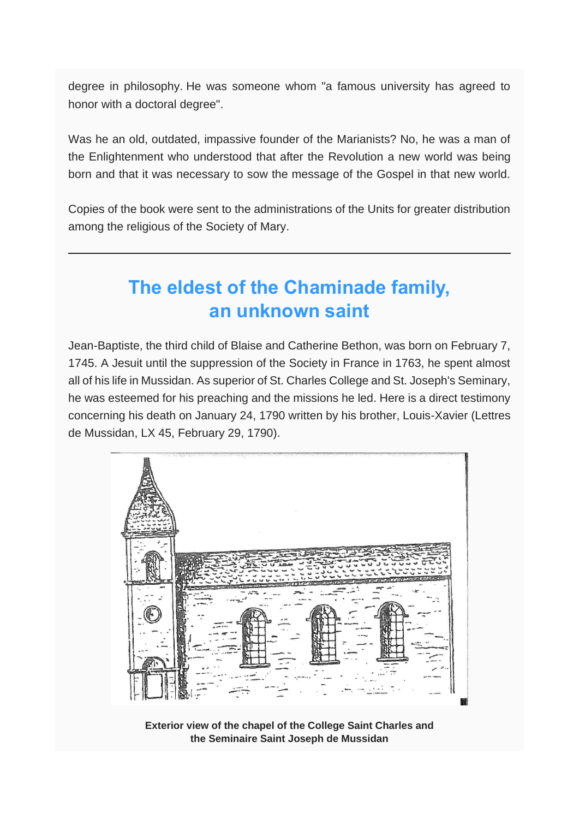degree in philosophy. He was someone whom "a famous university has agreed to honor with a doctoral degree".

Was he an old, outdated, impassive founder of the Marianists? No, he was a man of the Enlightenment who understood that after the Revolution a new world was being born and that it was necessary to sow the message of the Gospel in that new world.

Copies of the book were sent to the administrations of the Units for greater distribution among the religious of the Society of Mary.

# **The eldest of the Chaminade family, an unknown saint**

Jean-Baptiste, the third child of Blaise and Catherine Bethon, was born on February 7, 1745. A Jesuit until the suppression of the Society in France in 1763, he spent almost all of his life in Mussidan. As superior of St. Charles College and St. Joseph's Seminary, he was esteemed for his preaching and the missions he led. Here is a direct testimony concerning his death on January 24, 1790 written by his brother, Louis-Xavier (Lettres de Mussidan, LX 45, February 29, 1790).



**Exterior view of the chapel of the College Saint Charles and the Seminaire Saint Joseph de Mussidan**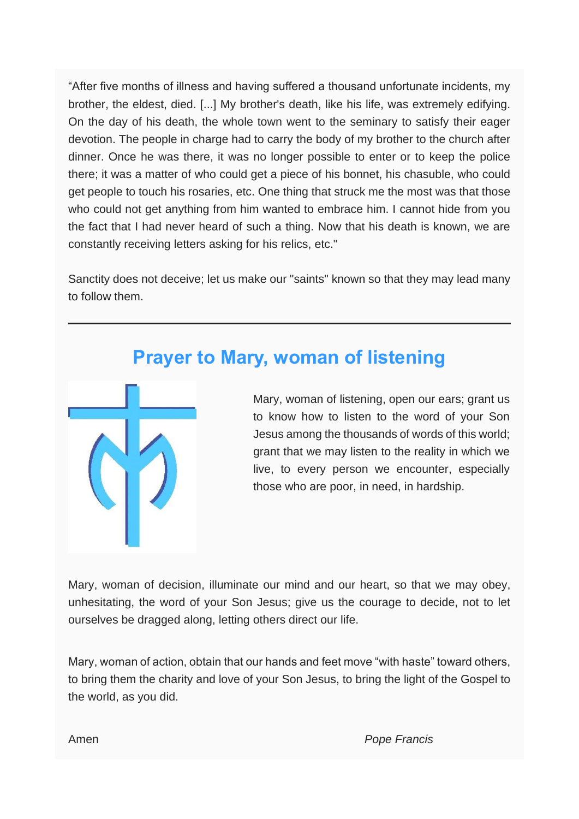"After five months of illness and having suffered a thousand unfortunate incidents, my brother, the eldest, died. [...] My brother's death, like his life, was extremely edifying. On the day of his death, the whole town went to the seminary to satisfy their eager devotion. The people in charge had to carry the body of my brother to the church after dinner. Once he was there, it was no longer possible to enter or to keep the police there; it was a matter of who could get a piece of his bonnet, his chasuble, who could get people to touch his rosaries, etc. One thing that struck me the most was that those who could not get anything from him wanted to embrace him. I cannot hide from you the fact that I had never heard of such a thing. Now that his death is known, we are constantly receiving letters asking for his relics, etc."

Sanctity does not deceive; let us make our "saints" known so that they may lead many to follow them.

## **Prayer to Mary, woman of listening**



Mary, woman of listening, open our ears; grant us to know how to listen to the word of your Son Jesus among the thousands of words of this world; grant that we may listen to the reality in which we live, to every person we encounter, especially those who are poor, in need, in hardship.

Mary, woman of decision, illuminate our mind and our heart, so that we may obey, unhesitating, the word of your Son Jesus; give us the courage to decide, not to let ourselves be dragged along, letting others direct our life.

Mary, woman of action, obtain that our hands and feet move "with haste" toward others, to bring them the charity and love of your Son Jesus, to bring the light of the Gospel to the world, as you did.

Amen *Pope Francis*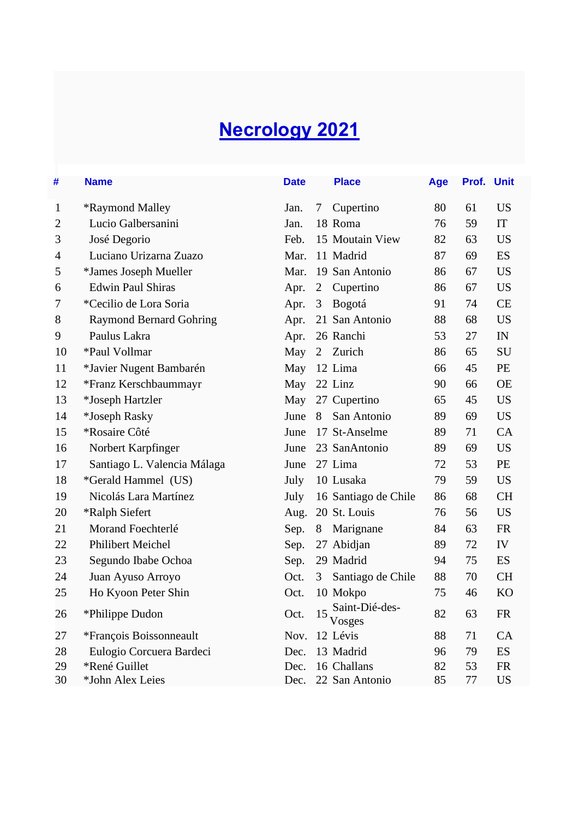# **Necrology 2021**

| #                        | <b>Name</b>                    | <b>Date</b> |                | <b>Place</b>             | Age | Prof. | <b>Unit</b> |
|--------------------------|--------------------------------|-------------|----------------|--------------------------|-----|-------|-------------|
| $\mathbf{1}$             | *Raymond Malley                | Jan.        | 7              | Cupertino                | 80  | 61    | <b>US</b>   |
| $\overline{c}$           | Lucio Galbersanini             | Jan.        |                | 18 Roma                  | 76  | 59    | IT          |
| 3                        | José Degorio                   | Feb.        |                | 15 Moutain View          | 82  | 63    | <b>US</b>   |
| $\overline{\mathcal{L}}$ | Luciano Urizarna Zuazo         | Mar.        |                | 11 Madrid                | 87  | 69    | ES          |
| 5                        | *James Joseph Mueller          | Mar.        |                | 19 San Antonio           | 86  | 67    | <b>US</b>   |
| 6                        | <b>Edwin Paul Shiras</b>       | Apr.        | $\overline{2}$ | Cupertino                | 86  | 67    | <b>US</b>   |
| $\overline{7}$           | *Cecilio de Lora Soria         | Apr.        | 3              | Bogotá                   | 91  | 74    | <b>CE</b>   |
| 8                        | <b>Raymond Bernard Gohring</b> | Apr.        |                | 21 San Antonio           | 88  | 68    | <b>US</b>   |
| 9                        | Paulus Lakra                   | Apr.        |                | 26 Ranchi                | 53  | 27    | IN          |
| 10                       | *Paul Vollmar                  | May         | $\overline{2}$ | Zurich                   | 86  | 65    | SU          |
| 11                       | *Javier Nugent Bambarén        | May         |                | 12 Lima                  | 66  | 45    | PE          |
| 12                       | *Franz Kerschbaummayr          | May         |                | 22 Linz                  | 90  | 66    | <b>OE</b>   |
| 13                       | *Joseph Hartzler               | May         |                | 27 Cupertino             | 65  | 45    | <b>US</b>   |
| 14                       | *Joseph Rasky                  | June        | 8              | San Antonio              | 89  | 69    | <b>US</b>   |
| 15                       | *Rosaire Côté                  | June        |                | 17 St-Anselme            | 89  | 71    | CA          |
| 16                       | Norbert Karpfinger             | June        |                | 23 SanAntonio            | 89  | 69    | <b>US</b>   |
| 17                       | Santiago L. Valencia Málaga    | June        |                | 27 Lima                  | 72  | 53    | PE          |
| 18                       | *Gerald Hammel (US)            | July        |                | 10 Lusaka                | 79  | 59    | <b>US</b>   |
| 19                       | Nicolás Lara Martínez          | July        |                | 16 Santiago de Chile     | 86  | 68    | CH          |
| 20                       | *Ralph Siefert                 | Aug.        |                | 20 St. Louis             | 76  | 56    | <b>US</b>   |
| 21                       | Morand Foechterlé              | Sep.        | 8              | Marignane                | 84  | 63    | ${\sf FR}$  |
| 22                       | <b>Philibert Meichel</b>       | Sep.        |                | 27 Abidjan               | 89  | 72    | IV          |
| 23                       | Segundo Ibabe Ochoa            | Sep.        |                | 29 Madrid                | 94  | 75    | ES          |
| 24                       | Juan Ayuso Arroyo              | Oct.        | 3              | Santiago de Chile        | 88  | 70    | <b>CH</b>   |
| 25                       | Ho Kyoon Peter Shin            | Oct.        |                | 10 Mokpo                 | 75  | 46    | <b>KO</b>   |
| 26                       | *Philippe Dudon                | Oct.        | 15             | Saint-Dié-des-<br>Vosges | 82  | 63    | FR          |
| 27                       | *François Boissonneault        | Nov.        |                | 12 Lévis                 | 88  | 71    | CA          |
| 28                       | Eulogio Corcuera Bardeci       | Dec.        |                | 13 Madrid                | 96  | 79    | ES          |
| 29                       | *René Guillet                  | Dec.        |                | 16 Challans              | 82  | 53    | FR          |
| 30                       | *John Alex Leies               | Dec.        |                | 22 San Antonio           | 85  | 77    | <b>US</b>   |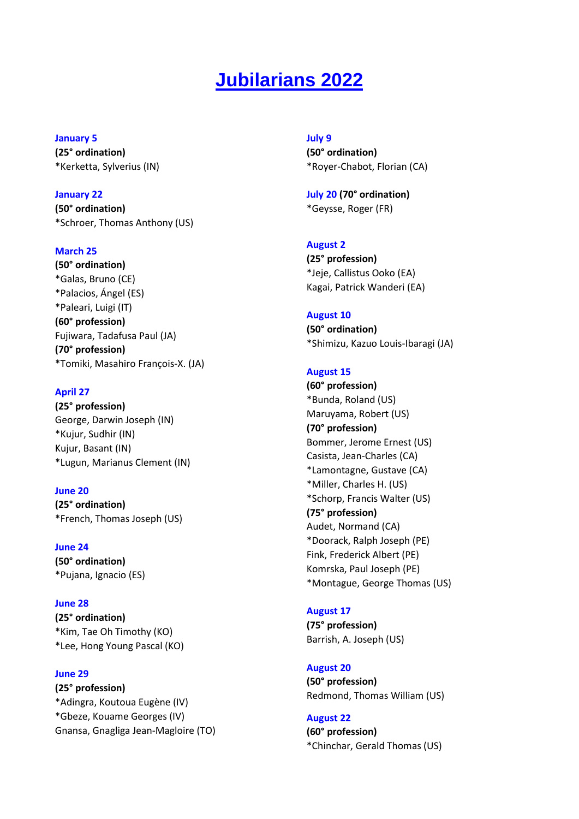## **Jubilarians 2022**

#### **January 5**

**(25° ordination)**  \*Kerketta, Sylverius (IN)

**January 22 (50° ordination)**  \*Schroer, Thomas Anthony (US)

#### **March 25**

**(50° ordination)** \*Galas, Bruno (CE) \*Palacios, Ángel (ES) \*Paleari, Luigi (IT) **(60° profession)** Fujiwara, Tadafusa Paul (JA) **(70° profession)** \*Tomiki, Masahiro François-X. (JA)

#### **April 27**

**(25° profession)** George, Darwin Joseph (IN) \*Kujur, Sudhir (IN) Kujur, Basant (IN) \*Lugun, Marianus Clement (IN)

**June 20 (25° ordination)**  \*French, Thomas Joseph (US)

**June 24 (50° ordination)**  \*Pujana, Ignacio (ES)

**June 28 (25° ordination)**  \*Kim, Tae Oh Timothy (KO) \*Lee, Hong Young Pascal (KO)

**June 29 (25° profession)**  \*Adingra, Koutoua Eugène (IV) \*Gbeze, Kouame Georges (IV) Gnansa, Gnagliga Jean-Magloire (TO) **July 9**

**(50° ordination)**  \*Royer-Chabot, Florian (CA)

**July 20 (70° ordination)**  \*Geysse, Roger (FR)

#### **August 2**

**(25° profession)**  \*Jeje, Callistus Ooko (EA) Kagai, Patrick Wanderi (EA)

#### **August 10**

**(50° ordination)**  \*Shimizu, Kazuo Louis-Ibaragi (JA)

#### **August 15**

**(60° profession)**  \*Bunda, Roland (US) Maruyama, Robert (US) **(70° profession)**  Bommer, Jerome Ernest (US) Casista, Jean-Charles (CA) \*Lamontagne, Gustave (CA) \*Miller, Charles H. (US) \*Schorp, Francis Walter (US) **(75° profession)**  Audet, Normand (CA) \*Doorack, Ralph Joseph (PE) Fink, Frederick Albert (PE) Komrska, Paul Joseph (PE) \*Montague, George Thomas (US)

#### **August 17**

**(75° profession)**  Barrish, A. Joseph (US)

#### **August 20**

**(50° profession)**  Redmond, Thomas William (US)

**August 22 (60° profession)**  \*Chinchar, Gerald Thomas (US)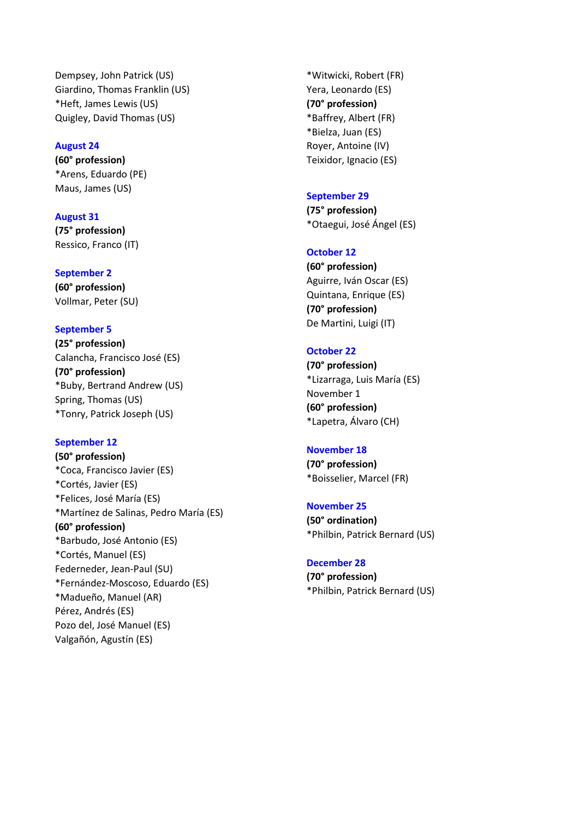Dempsey, John Patrick (US) Giardino, Thomas Franklin (US) \*Heft, James Lewis (US) Quigley, David Thomas (US)

#### **August 24**

**(60° profession)**  \*Arens, Eduardo (PE) Maus, James (US)

**August 31 (75° profession)** Ressico, Franco (IT)

**September 2 (60° profession)**  Vollmar, Peter (SU)

#### **September 5**

**(25° profession)**  Calancha, Francisco José (ES) **(70° profession)** \*Buby, Bertrand Andrew (US) Spring, Thomas (US) \*Tonry, Patrick Joseph (US)

#### **September 12**

**(50° profession)**  \*Coca, Francisco Javier (ES) \*Cortés, Javier (ES) \*Felices, José María (ES) \*Martínez de Salinas, Pedro María (ES) **(60° profession)**  \*Barbudo, José Antonio (ES) \*Cortés, Manuel (ES) Federneder, Jean -Paul (SU) \*Fernández -Moscoso, Eduardo (ES) \*Madueño, Manuel (AR) Pérez, Andrés (ES) Pozo del, José Manuel (ES) Valgañón, Agustín (ES)

\*Witwicki, Robert (FR) Yera, Leonardo (ES) **(70° profession)**  \*Baffrey, Albert (FR) \*Bielza, Juan (ES) Royer, Antoine (IV) Teixidor, Ignacio (ES)

#### **September 29**

**(75° profession)**  \*Otaegui, José Ángel (ES)

#### **October 12**

**(60° profession)**  Aguirre, Iván Oscar (ES) Quintana, Enrique (ES) **(70° profession)**  De Martini, Luigi (IT)

#### **October 22**

**(70° profession)**  \*Lizarraga, Luis María (ES) November 1 **(60° profession)**  \*Lapetra, Álvaro (CH)

#### **November 18**

**(70° profession)**  \*Boisselier, Marcel (FR)

#### **November 25**

**(50° ordination)**  \*Philbin, Patrick Bernard (US)

#### **December 28**

**(70° profession)**  \*Philbin, Patrick Bernard (US)